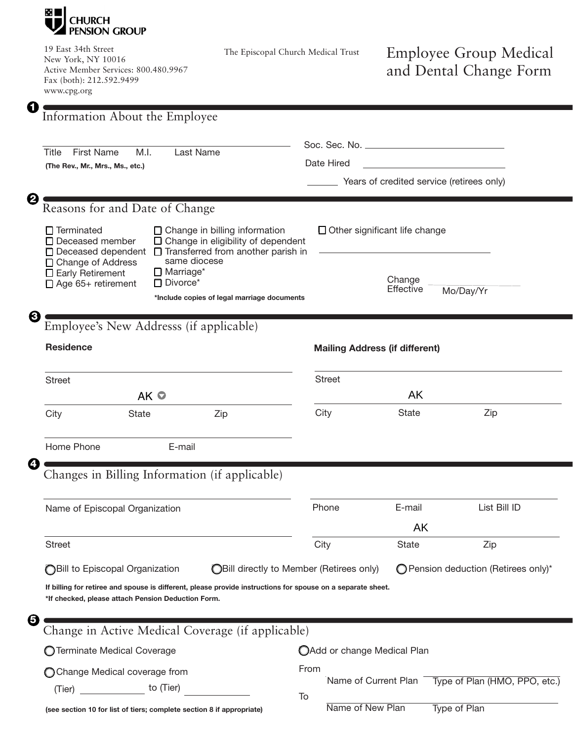

19 East 34th Street New York, NY 10016 Active Member Services: 800.480.9967 Fax (both): 212.592.9499 www.cpg.org

The Episcopal Church Medical Trust

## Employee Group Medical and Dental Change Form

| G<br>Information About the Employee                                                                                                                                                                                                                                                                                                                                         |                                                 |                                                         |                             |                                      |  |  |  |
|-----------------------------------------------------------------------------------------------------------------------------------------------------------------------------------------------------------------------------------------------------------------------------------------------------------------------------------------------------------------------------|-------------------------------------------------|---------------------------------------------------------|-----------------------------|--------------------------------------|--|--|--|
| <b>First Name</b><br>Last Name<br>Title<br>M.I.<br>(The Rev., Mr., Mrs., Ms., etc.)                                                                                                                                                                                                                                                                                         |                                                 | Date Hired<br>Years of credited service (retirees only) |                             |                                      |  |  |  |
| ℯ<br>Reasons for and Date of Change                                                                                                                                                                                                                                                                                                                                         |                                                 |                                                         |                             |                                      |  |  |  |
| $\Box$ Change in billing information<br>$\Box$ Terminated<br>□ Change in eligibility of dependent<br>□ Deceased member<br>$\Box$ Transferred from another parish in<br>□ Deceased dependent<br>same diocese<br>□ Change of Address<br>$\Box$ Marriage*<br>$\Box$ Early Retirement<br>$\Box$ Divorce*<br>□ Age 65+ retirement<br>*Include copies of legal marriage documents |                                                 | $\Box$ Other significant life change                    |                             |                                      |  |  |  |
|                                                                                                                                                                                                                                                                                                                                                                             |                                                 | Change<br>Effective<br>Mo/Day/Yr                        |                             |                                      |  |  |  |
| 3<br>Employee's New Addresss (if applicable)                                                                                                                                                                                                                                                                                                                                |                                                 |                                                         |                             |                                      |  |  |  |
| <b>Residence</b>                                                                                                                                                                                                                                                                                                                                                            |                                                 | <b>Mailing Address (if different)</b>                   |                             |                                      |  |  |  |
| <b>Street</b><br>AK O                                                                                                                                                                                                                                                                                                                                                       |                                                 | <b>Street</b>                                           | AK                          |                                      |  |  |  |
| City<br>Zip<br>State                                                                                                                                                                                                                                                                                                                                                        |                                                 | City                                                    | <b>State</b>                | Zip                                  |  |  |  |
| Home Phone<br>E-mail<br>Ł.                                                                                                                                                                                                                                                                                                                                                  |                                                 |                                                         |                             |                                      |  |  |  |
| Changes in Billing Information (if applicable)                                                                                                                                                                                                                                                                                                                              |                                                 |                                                         |                             |                                      |  |  |  |
| Name of Episcopal Organization                                                                                                                                                                                                                                                                                                                                              |                                                 | Phone                                                   | E-mail                      | List Bill ID                         |  |  |  |
|                                                                                                                                                                                                                                                                                                                                                                             |                                                 |                                                         | AK                          |                                      |  |  |  |
| <b>Street</b>                                                                                                                                                                                                                                                                                                                                                               |                                                 | City                                                    | State                       | Zip                                  |  |  |  |
| <b>OBill to Episcopal Organization</b>                                                                                                                                                                                                                                                                                                                                      | <b>OBill directly to Member (Retirees only)</b> |                                                         |                             | ◯ Pension deduction (Retirees only)* |  |  |  |
| If billing for retiree and spouse is different, please provide instructions for spouse on a separate sheet.<br>*If checked, please attach Pension Deduction Form.                                                                                                                                                                                                           |                                                 |                                                         |                             |                                      |  |  |  |
| 6<br>Change in Active Medical Coverage (if applicable)                                                                                                                                                                                                                                                                                                                      |                                                 |                                                         |                             |                                      |  |  |  |
| O Terminate Medical Coverage                                                                                                                                                                                                                                                                                                                                                |                                                 |                                                         | OAdd or change Medical Plan |                                      |  |  |  |
| ◯ Change Medical coverage from                                                                                                                                                                                                                                                                                                                                              | From                                            |                                                         |                             |                                      |  |  |  |
| to (Tier)<br>(Tier)                                                                                                                                                                                                                                                                                                                                                         | To                                              |                                                         | Name of Current Plan        | Type of Plan (HMO, PPO, etc.)        |  |  |  |
| (see section 10 for list of tiers; complete section 8 if appropriate)                                                                                                                                                                                                                                                                                                       |                                                 | Name of New Plan                                        |                             | Type of Plan                         |  |  |  |